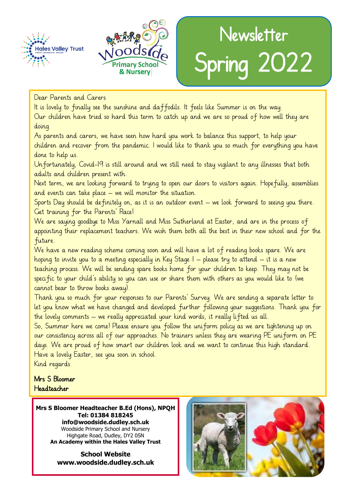



# Newsletter Spring 2022

#### Dear Parents and Carers

Dear Parents and Carers<br>Dear Parents and Carers<br>It is lovely to finally see the sunshine and daffodils. It feels like Summer is on the way. Our children have tried so hard this term to catch up and we are so proud of how well they are doing.

As parents and carers, we have seen how hard you work to balance this support, to help your children and recover from the pandemic. I would like to thank you so much for everything you have done to help us.

Unfortunately, Covid-19 is still around and we still need to stay vigilant to any illnesses that both adults and children present with.

Next term, we are looking forward to trying to open our doors to visitors again. Hopefully, assemblies and events can take place – we will monitor the situation.

Sports Day should be definitely on, as it is an outdoor event – we look forward to seeing you there. Get training for the Parents' Race!

We are saying goodbye to Miss Yarnall and Miss Sutherland at Easter, and are in the process of appointing their replacement teachers. We wish them both all the best in their new school and for the future.

We have a new reading scheme coming soon and will have a lot of reading books spare. We are hoping to invite you to a meeting especially in Key Stage  $I$  – please try to attend – it is a new teaching process. We will be sending spare books home for your children to keep. They may not be specific to your child's ability so you can use or share them with others as you would like to (we cannot bear to throw books away).

Thank you so much for your responses to our Parents' Survey. We are sending a separate letter to let you know what we have changed and developed further following your suggestions. Thank you for the lovely comments – we really appreciated your kind words, it really lifted us all.

So, Summer here we come! Please ensure you follow the uniform policy as we are tightening up on our consistency across all of our approaches. No trainers unless they are wearing PE uniform on PE days. We are proud of how smart our children look and we want to continue this high standard. Have a lovely Easter, see you soon in school.

Kind regards

#### Mrs S Bloomer Headteacher

**Mrs S Bloomer Headteacher B.Ed (Hons), NPQH Tel: 01384 818245 info@woodside.dudley.sch.uk** Woodside Primary School and Nursery Highgate Road, Dudley, DY2 0SN **An Academy within the Hales Valley Trust**

> **School Website www.woodside.dudley.sch.uk**

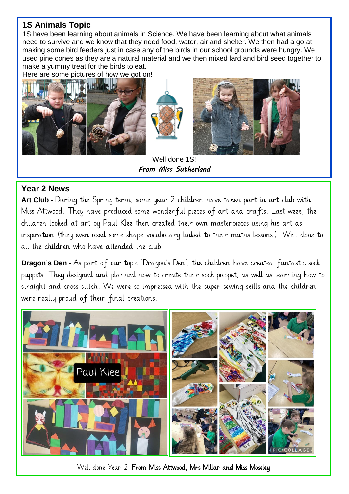### **1S Animals Topic**

1S have been learning about animals in Science. We have been learning about what animals need to survive and we know that they need food, water, air and shelter. We then had a go at making some bird feeders just in case any of the birds in our school grounds were hungry. We used pine cones as they are a natural material and we then mixed lard and bird seed together to make a yummy treat for the birds to eat.

Here are some pictures of how we got on!





Well done 1S! *From Miss Sutherland* 

#### **Year 2 News**

Art Club - During the Spring term, some year 2 children have taken part in art club with Miss Attwood. They have produced some wonderful pieces of art and crafts. Last week, the children looked at art by Paul Klee then created their own masterpieces using his art as inspiration (they even used some shape vocabulary linked to their maths lessons!). Well done to all the children who have attended the club!

**Dragon's Den** - As part of our topic 'Dragon's Den', the children have created fantastic sock puppets. They designed and planned how to create their sock puppet, as well as learning how to straight and cross stitch. We were so impressed with the super sewing skills and the children were really proud of their final creations.



Well done Year 2! From Miss Attwood, Mrs Millar and Miss Moseley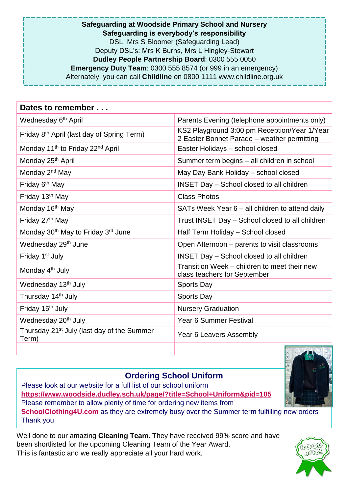**Safeguarding at Woodside Primary School and Nursery Safeguarding is everybody's responsibility** DSL: Mrs S Bloomer (Safeguarding Lead) Deputy DSL's: Mrs K Burns, Mrs L Hingley-Stewart **Dudley People Partnership Board**: 0300 555 0050 **Emergency Duty Team**: 0300 555 8574 (or 999 in an emergency) Alternately, you can call **Childline** on 0800 1111 www.childline.org.uk

| Dates to remember                                               |                                                                                             |
|-----------------------------------------------------------------|---------------------------------------------------------------------------------------------|
| Wednesday 6 <sup>th</sup> April                                 | Parents Evening (telephone appointments only)                                               |
| Friday 8 <sup>th</sup> April (last day of Spring Term)          | KS2 Playground 3:00 pm Reception/Year 1/Year<br>2 Easter Bonnet Parade - weather permitting |
| Monday 11 <sup>th</sup> to Friday 22 <sup>nd</sup> April        | Easter Holidays - school closed                                                             |
| Monday 25 <sup>th</sup> April                                   | Summer term begins – all children in school                                                 |
| Monday 2 <sup>nd</sup> May                                      | May Day Bank Holiday - school closed                                                        |
| Friday 6 <sup>th</sup> May                                      | <b>INSET Day - School closed to all children</b>                                            |
| Friday 13 <sup>th</sup> May                                     | <b>Class Photos</b>                                                                         |
| Monday 16 <sup>th</sup> May                                     | SATs Week Year 6 – all children to attend daily                                             |
| Friday 27 <sup>th</sup> May                                     | Trust INSET Day - School closed to all children                                             |
| Monday 30 <sup>th</sup> May to Friday 3 <sup>rd</sup> June      | Half Term Holiday - School closed                                                           |
| Wednesday 29 <sup>th</sup> June                                 | Open Afternoon – parents to visit classrooms                                                |
| Friday 1 <sup>st</sup> July                                     | <b>INSET Day - School closed to all children</b>                                            |
| Monday 4 <sup>th</sup> July                                     | Transition Week - children to meet their new<br>class teachers for September                |
| Wednesday 13 <sup>th</sup> July                                 | Sports Day                                                                                  |
| Thursday 14 <sup>th</sup> July                                  | Sports Day                                                                                  |
| Friday 15 <sup>th</sup> July                                    | <b>Nursery Graduation</b>                                                                   |
| Wednesday 20 <sup>th</sup> July                                 | Year 6 Summer Festival                                                                      |
| Thursday 21 <sup>st</sup> July (last day of the Summer<br>Term) | Year 6 Leavers Assembly                                                                     |

#### **Ordering School Uniform**

Please look at our website for a full list of our school uniform **<https://www.woodside.dudley.sch.uk/page/?title=School+Uniform&pid=105>** Please remember to allow plenty of time for ordering new items from **SchoolClothing4U.com** as they are extremely busy over the Summer term fulfilling new orders Thank you

Well done to our amazing **Cleaning Team**. They have received 99% score and have been shortlisted for the upcoming Cleaning Team of the Year Award. This is fantastic and we really appreciate all your hard work.



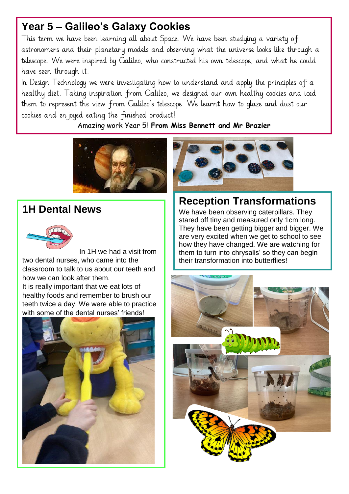## **Year 5 – Galileo's Galaxy Cookies**

This term we have been learning all about Space. We have been studying a variety of astronomers and their planetary models and observing what the universe looks like through a telescope. We were inspired by Galileo, who constructed his own telescope, and what he could have seen through it.

In Design Technology we were investigating how to understand and apply the principles of a healthy diet. Taking inspiration from Galileo, we designed our own healthy cookies and iced them to represent the view from Galileo's telescope. We learnt how to glaze and dust our cookies and enjoyed eating the finished product!

Amazing work Year 5! **From Miss Bennett and Mr Brazier**



## **1H Dental News**



In 1H we had a visit from two dental nurses, who came into the classroom to talk to us about our teeth and how we can look after them. It is really important that we eat lots of healthy foods and remember to brush our teeth twice a day. We were able to practice with some of the dental nurses' friends!





## **Reception Transformations**

We have been observing caterpillars. They stared off tiny and measured only 1cm long. They have been getting bigger and bigger. We are very excited when we get to school to see how they have changed. We are watching for them to turn into chrysalis' so they can begin their transformation into butterflies!